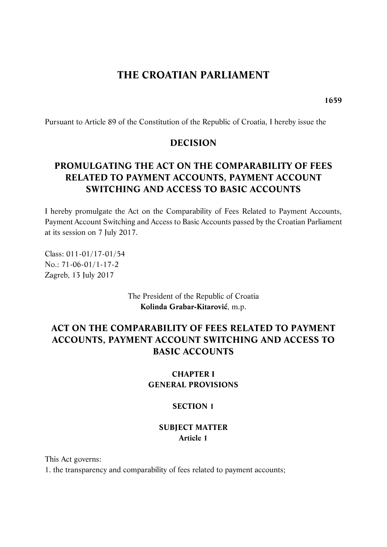# **THE CROATIAN PARLIAMENT**

**1659** 

Pursuant to Article 89 of the Constitution of the Republic of Croatia, I hereby issue the

#### **DECISION**

# **PROMULGATING THE ACT ON THE COMPARABILITY OF FEES RELATED TO PAYMENT ACCOUNTS, PAYMENT ACCOUNT SWITCHING AND ACCESS TO BASIC ACCOUNTS**

I hereby promulgate the Act on the Comparability of Fees Related to Payment Accounts, Payment Account Switching and Access to Basic Accounts passed by the Croatian Parliament at its session on 7 July 2017.

Class: 011-01/17-01/54 No.: 71-06-01/1-17-2 Zagreb, 13 July 2017

> The President of the Republic of Croatia **Kolinda Grabar-Kitarović**, m.p.

# **ACT ON THE COMPARABILITY OF FEES RELATED TO PAYMENT ACCOUNTS, PAYMENT ACCOUNT SWITCHING AND ACCESS TO BASIC ACCOUNTS**

## **CHAPTER I GENERAL PROVISIONS**

#### **SECTION 1**

#### **SUBJECT MATTER Article 1**

This Act governs:

1. the transparency and comparability of fees related to payment accounts;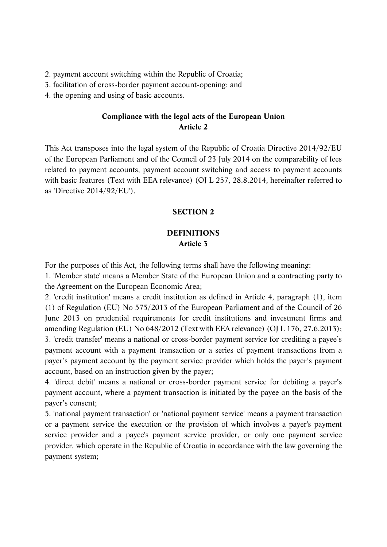- 2. payment account switching within the Republic of Croatia;
- 3. facilitation of cross-border payment account-opening; and
- 4. the opening and using of basic accounts.

#### **Compliance with the legal acts of the European Union Article 2**

This Act transposes into the legal system of the Republic of Croatia Directive 2014/92/EU of the European Parliament and of the Council of 23 July 2014 on the comparability of fees related to payment accounts, payment account switching and access to payment accounts with basic features (Text with EEA relevance) (OJ L 257, 28.8.2014, hereinafter referred to as 'Directive 2014/92/EU').

#### **SECTION 2**

## **DEFINITIONS Article 3**

For the purposes of this Act, the following terms shall have the following meaning:

1. 'Member state' means a Member State of the European Union and a contracting party to the Agreement on the European Economic Area;

2. 'credit institution' means a credit institution as defined in Article 4, paragraph (1), item (1) of Regulation (EU) No 575/2013 of the European Parliament and of the Council of 26 June 2013 on prudential requirements for credit institutions and investment firms and amending Regulation (EU) No 648/2012 (Text with EEA relevance) (OJ L 176, 27.6.2013); 3. 'credit transfer' means a national or cross-border payment service for crediting a payee's payment account with a payment transaction or a series of payment transactions from a payer's payment account by the payment service provider which holds the payer's payment account, based on an instruction given by the payer;

4. 'direct debit' means a national or cross-border payment service for debiting a payer's payment account, where a payment transaction is initiated by the payee on the basis of the payer's consent;

5. 'national payment transaction' or 'national payment service' means a payment transaction or a payment service the execution or the provision of which involves a payer's payment service provider and a payee's payment service provider, or only one payment service provider, which operate in the Republic of Croatia in accordance with the law governing the payment system;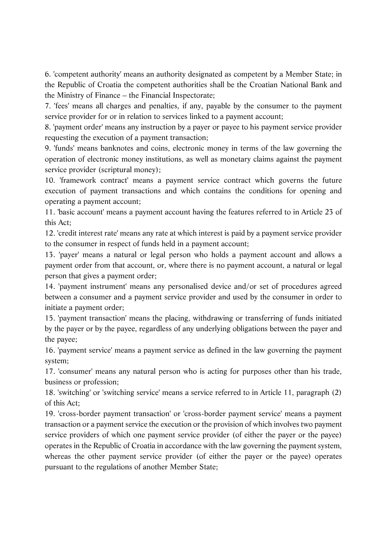6. 'competent authority' means an authority designated as competent by a Member State; in the Republic of Croatia the competent authorities shall be the Croatian National Bank and the Ministry of Finance – the Financial Inspectorate;

7. 'fees' means all charges and penalties, if any, payable by the consumer to the payment service provider for or in relation to services linked to a payment account;

8. 'payment order' means any instruction by a payer or payee to his payment service provider requesting the execution of a payment transaction;

9. 'funds' means banknotes and coins, electronic money in terms of the law governing the operation of electronic money institutions, as well as monetary claims against the payment service provider (scriptural money);

10. 'framework contract' means a payment service contract which governs the future execution of payment transactions and which contains the conditions for opening and operating a payment account;

11. 'basic account' means a payment account having the features referred to in Article 23 of this Act;

12. 'credit interest rate' means any rate at which interest is paid by a payment service provider to the consumer in respect of funds held in a payment account;

13. 'payer' means a natural or legal person who holds a payment account and allows a payment order from that account, or, where there is no payment account, a natural or legal person that gives a payment order;

14. 'payment instrument' means any personalised device and/or set of procedures agreed between a consumer and a payment service provider and used by the consumer in order to initiate a payment order;

15. 'payment transaction' means the placing, withdrawing or transferring of funds initiated by the payer or by the payee, regardless of any underlying obligations between the payer and the payee;

16. 'payment service' means a payment service as defined in the law governing the payment system;

17. 'consumer' means any natural person who is acting for purposes other than his trade, business or profession;

18. 'switching' or 'switching service' means a service referred to in Article 11, paragraph (2) of this Act;

19. 'cross-border payment transaction' or 'cross-border payment service' means a payment transaction or a payment service the execution or the provision of which involves two payment service providers of which one payment service provider (of either the payer or the payee) operates in the Republic of Croatia in accordance with the law governing the payment system, whereas the other payment service provider (of either the payer or the payee) operates pursuant to the regulations of another Member State;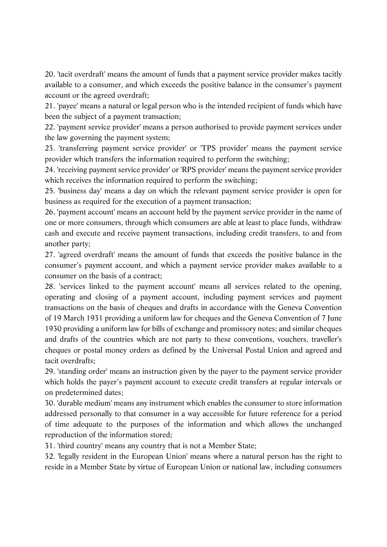20. 'tacit overdraft' means the amount of funds that a payment service provider makes tacitly available to a consumer, and which exceeds the positive balance in the consumer's payment account or the agreed overdraft;

21. 'payee' means a natural or legal person who is the intended recipient of funds which have been the subject of a payment transaction;

22. 'payment service provider' means a person authorised to provide payment services under the law governing the payment system;

23. 'transferring payment service provider' or 'TPS provider' means the payment service provider which transfers the information required to perform the switching;

24. 'receiving payment service provider' or 'RPS provider' means the payment service provider which receives the information required to perform the switching;

25. 'business day' means a day on which the relevant payment service provider is open for business as required for the execution of a payment transaction;

26. 'payment account' means an account held by the payment service provider in the name of one or more consumers, through which consumers are able at least to place funds, withdraw cash and execute and receive payment transactions, including credit transfers, to and from another party;

27. 'agreed overdraft' means the amount of funds that exceeds the positive balance in the consumer's payment account, and which a payment service provider makes available to a consumer on the basis of a contract;

28. 'services linked to the payment account' means all services related to the opening, operating and closing of a payment account, including payment services and payment transactions on the basis of cheques and drafts in accordance with the Geneva Convention of 19 March 1931 providing a uniform law for cheques and the Geneva Convention of 7 June 1930 providing a uniform law for bills of exchange and promissory notes; and similar cheques and drafts of the countries which are not party to these conventions, vouchers, traveller's cheques or postal money orders as defined by the Universal Postal Union and agreed and tacit overdrafts;

29. 'standing order' means an instruction given by the payer to the payment service provider which holds the payer's payment account to execute credit transfers at regular intervals or on predetermined dates;

30. 'durable medium' means any instrument which enables the consumer to store information addressed personally to that consumer in a way accessible for future reference for a period of time adequate to the purposes of the information and which allows the unchanged reproduction of the information stored;

31. 'third country' means any country that is not a Member State;

32. 'legally resident in the European Union' means where a natural person has the right to reside in a Member State by virtue of European Union or national law, including consumers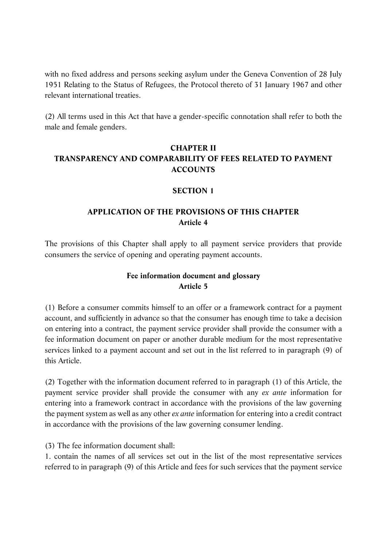with no fixed address and persons seeking asylum under the Geneva Convention of 28 July 1951 Relating to the Status of Refugees, the Protocol thereto of 31 January 1967 and other relevant international treaties.

(2) All terms used in this Act that have a gender-specific connotation shall refer to both the male and female genders.

## **CHAPTER II TRANSPARENCY AND COMPARABILITY OF FEES RELATED TO PAYMENT ACCOUNTS**

#### **SECTION 1**

## **APPLICATION OF THE PROVISIONS OF THIS CHAPTER Article 4**

The provisions of this Chapter shall apply to all payment service providers that provide consumers the service of opening and operating payment accounts.

#### **Fee information document and glossary Article 5**

(1) Before a consumer commits himself to an offer or a framework contract for a payment account, and sufficiently in advance so that the consumer has enough time to take a decision on entering into a contract, the payment service provider shall provide the consumer with a fee information document on paper or another durable medium for the most representative services linked to a payment account and set out in the list referred to in paragraph (9) of this Article.

(2) Together with the information document referred to in paragraph (1) of this Article, the payment service provider shall provide the consumer with any *ex ante* information for entering into a framework contract in accordance with the provisions of the law governing the payment system as well as any other *ex ante* information for entering into a credit contract in accordance with the provisions of the law governing consumer lending.

(3) The fee information document shall:

1. contain the names of all services set out in the list of the most representative services referred to in paragraph (9) of this Article and fees for such services that the payment service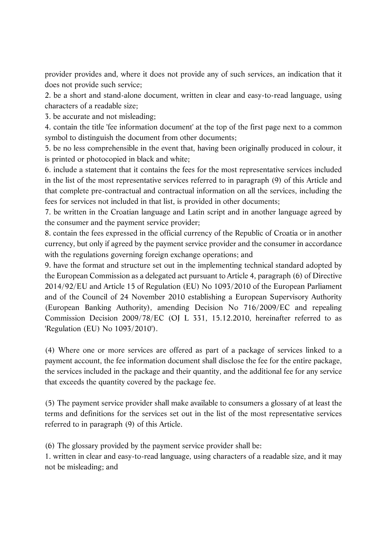provider provides and, where it does not provide any of such services, an indication that it does not provide such service;

2. be a short and stand-alone document, written in clear and easy-to-read language, using characters of a readable size;

3. be accurate and not misleading;

4. contain the title 'fee information document' at the top of the first page next to a common symbol to distinguish the document from other documents;

5. be no less comprehensible in the event that, having been originally produced in colour, it is printed or photocopied in black and white;

6. include a statement that it contains the fees for the most representative services included in the list of the most representative services referred to in paragraph (9) of this Article and that complete pre-contractual and contractual information on all the services, including the fees for services not included in that list, is provided in other documents;

7. be written in the Croatian language and Latin script and in another language agreed by the consumer and the payment service provider;

8. contain the fees expressed in the official currency of the Republic of Croatia or in another currency, but only if agreed by the payment service provider and the consumer in accordance with the regulations governing foreign exchange operations; and

9. have the format and structure set out in the implementing technical standard adopted by the European Commission as a delegated act pursuant to Article 4, paragraph (6) of Directive 2014/92/EU and Article 15 of Regulation (EU) No 1093/2010 of the European Parliament and of the Council of 24 November 2010 establishing a European Supervisory Authority (European Banking Authority), amending Decision No 716/2009/EC and repealing Commission Decision 2009/78/EC (OJ L 331, 15.12.2010, hereinafter referred to as 'Regulation (EU) No 1093/2010').

(4) Where one or more services are offered as part of a package of services linked to a payment account, the fee information document shall disclose the fee for the entire package, the services included in the package and their quantity, and the additional fee for any service that exceeds the quantity covered by the package fee.

(5) The payment service provider shall make available to consumers a glossary of at least the terms and definitions for the services set out in the list of the most representative services referred to in paragraph (9) of this Article.

(6) The glossary provided by the payment service provider shall be:

1. written in clear and easy-to-read language, using characters of a readable size, and it may not be misleading; and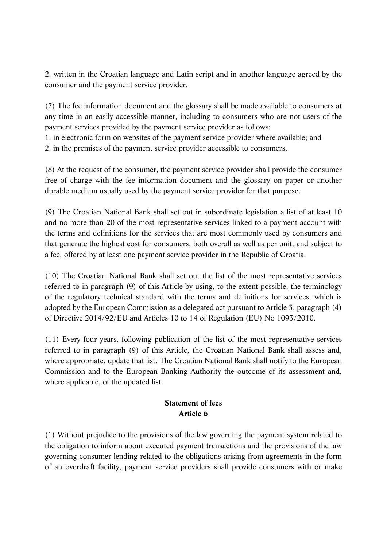2. written in the Croatian language and Latin script and in another language agreed by the consumer and the payment service provider.

(7) The fee information document and the glossary shall be made available to consumers at any time in an easily accessible manner, including to consumers who are not users of the payment services provided by the payment service provider as follows:

1. in electronic form on websites of the payment service provider where available; and

2. in the premises of the payment service provider accessible to consumers.

(8) At the request of the consumer, the payment service provider shall provide the consumer free of charge with the fee information document and the glossary on paper or another durable medium usually used by the payment service provider for that purpose.

(9) The Croatian National Bank shall set out in subordinate legislation a list of at least 10 and no more than 20 of the most representative services linked to a payment account with the terms and definitions for the services that are most commonly used by consumers and that generate the highest cost for consumers, both overall as well as per unit, and subject to a fee, offered by at least one payment service provider in the Republic of Croatia.

(10) The Croatian National Bank shall set out the list of the most representative services referred to in paragraph (9) of this Article by using, to the extent possible, the terminology of the regulatory technical standard with the terms and definitions for services, which is adopted by the European Commission as a delegated act pursuant to Article 3, paragraph (4) of Directive 2014/92/EU and Articles 10 to 14 of Regulation (EU) No 1093/2010.

(11) Every four years, following publication of the list of the most representative services referred to in paragraph (9) of this Article, the Croatian National Bank shall assess and, where appropriate, update that list. The Croatian National Bank shall notify to the European Commission and to the European Banking Authority the outcome of its assessment and, where applicable, of the updated list.

## **Statement of fees Article 6**

(1) Without prejudice to the provisions of the law governing the payment system related to the obligation to inform about executed payment transactions and the provisions of the law governing consumer lending related to the obligations arising from agreements in the form of an overdraft facility, payment service providers shall provide consumers with or make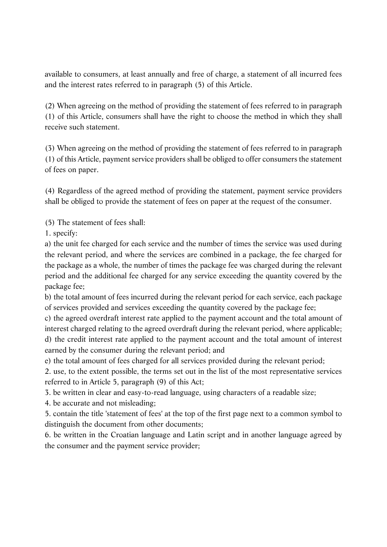available to consumers, at least annually and free of charge, a statement of all incurred fees and the interest rates referred to in paragraph (5) of this Article.

(2) When agreeing on the method of providing the statement of fees referred to in paragraph (1) of this Article, consumers shall have the right to choose the method in which they shall receive such statement.

(3) When agreeing on the method of providing the statement of fees referred to in paragraph (1) of this Article, payment service providers shall be obliged to offer consumers the statement of fees on paper.

(4) Regardless of the agreed method of providing the statement, payment service providers shall be obliged to provide the statement of fees on paper at the request of the consumer.

(5) The statement of fees shall:

1. specify:

a) the unit fee charged for each service and the number of times the service was used during the relevant period, and where the services are combined in a package, the fee charged for the package as a whole, the number of times the package fee was charged during the relevant period and the additional fee charged for any service exceeding the quantity covered by the package fee;

b) the total amount of fees incurred during the relevant period for each service, each package of services provided and services exceeding the quantity covered by the package fee;

c) the agreed overdraft interest rate applied to the payment account and the total amount of interest charged relating to the agreed overdraft during the relevant period, where applicable; d) the credit interest rate applied to the payment account and the total amount of interest earned by the consumer during the relevant period; and

e) the total amount of fees charged for all services provided during the relevant period;

2. use, to the extent possible, the terms set out in the list of the most representative services referred to in Article 5, paragraph (9) of this Act;

3. be written in clear and easy-to-read language, using characters of a readable size;

4. be accurate and not misleading;

5. contain the title 'statement of fees' at the top of the first page next to a common symbol to distinguish the document from other documents;

6. be written in the Croatian language and Latin script and in another language agreed by the consumer and the payment service provider;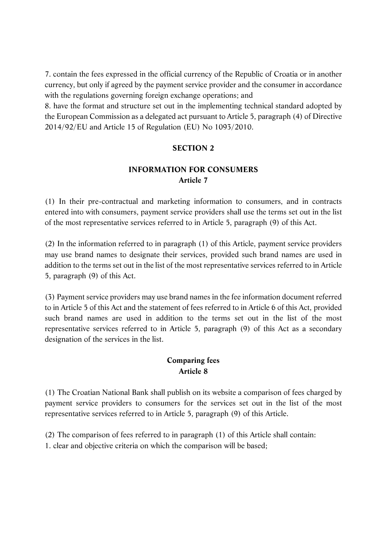7. contain the fees expressed in the official currency of the Republic of Croatia or in another currency, but only if agreed by the payment service provider and the consumer in accordance with the regulations governing foreign exchange operations; and

8. have the format and structure set out in the implementing technical standard adopted by the European Commission as a delegated act pursuant to Article 5, paragraph (4) of Directive 2014/92/EU and Article 15 of Regulation (EU) No 1093/2010.

#### **SECTION 2**

## **INFORMATION FOR CONSUMERS Article 7**

(1) In their pre-contractual and marketing information to consumers, and in contracts entered into with consumers, payment service providers shall use the terms set out in the list of the most representative services referred to in Article 5, paragraph (9) of this Act.

(2) In the information referred to in paragraph (1) of this Article, payment service providers may use brand names to designate their services, provided such brand names are used in addition to the terms set out in the list of the most representative services referred to in Article 5, paragraph (9) of this Act.

(3) Payment service providers may use brand names in the fee information document referred to in Article 5 of this Act and the statement of fees referred to in Article 6 of this Act, provided such brand names are used in addition to the terms set out in the list of the most representative services referred to in Article 5, paragraph (9) of this Act as a secondary designation of the services in the list.

#### **Comparing fees Article 8**

(1) The Croatian National Bank shall publish on its website a comparison of fees charged by payment service providers to consumers for the services set out in the list of the most representative services referred to in Article 5, paragraph (9) of this Article.

(2) The comparison of fees referred to in paragraph (1) of this Article shall contain: 1. clear and objective criteria on which the comparison will be based;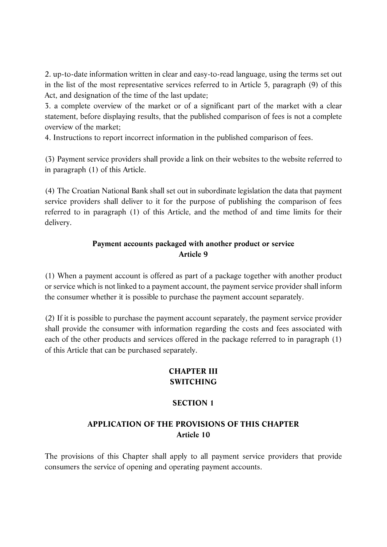2. up-to-date information written in clear and easy-to-read language, using the terms set out in the list of the most representative services referred to in Article 5, paragraph (9) of this Act, and designation of the time of the last update;

3. a complete overview of the market or of a significant part of the market with a clear statement, before displaying results, that the published comparison of fees is not a complete overview of the market;

4. Instructions to report incorrect information in the published comparison of fees.

(3) Payment service providers shall provide a link on their websites to the website referred to in paragraph (1) of this Article.

(4) The Croatian National Bank shall set out in subordinate legislation the data that payment service providers shall deliver to it for the purpose of publishing the comparison of fees referred to in paragraph (1) of this Article, and the method of and time limits for their delivery.

## **Payment accounts packaged with another product or service Article 9**

(1) When a payment account is offered as part of a package together with another product or service which is not linked to a payment account, the payment service provider shall inform the consumer whether it is possible to purchase the payment account separately.

(2) If it is possible to purchase the payment account separately, the payment service provider shall provide the consumer with information regarding the costs and fees associated with each of the other products and services offered in the package referred to in paragraph (1) of this Article that can be purchased separately.

## **CHAPTER III SWITCHING**

## **SECTION 1**

## **APPLICATION OF THE PROVISIONS OF THIS CHAPTER Article 10**

The provisions of this Chapter shall apply to all payment service providers that provide consumers the service of opening and operating payment accounts.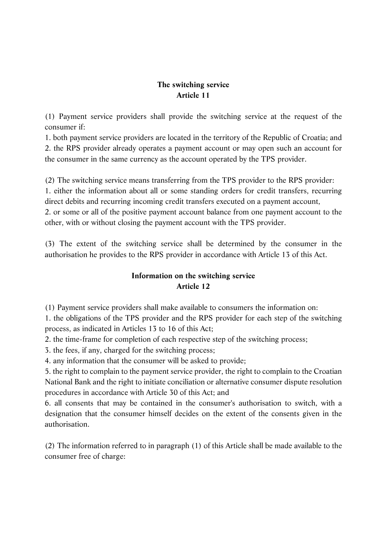## **The switching service Article 11**

(1) Payment service providers shall provide the switching service at the request of the consumer if:

1. both payment service providers are located in the territory of the Republic of Croatia; and 2. the RPS provider already operates a payment account or may open such an account for the consumer in the same currency as the account operated by the TPS provider.

(2) The switching service means transferring from the TPS provider to the RPS provider: 1. either the information about all or some standing orders for credit transfers, recurring direct debits and recurring incoming credit transfers executed on a payment account, 2. or some or all of the positive payment account balance from one payment account to the other, with or without closing the payment account with the TPS provider.

(3) The extent of the switching service shall be determined by the consumer in the authorisation he provides to the RPS provider in accordance with Article 13 of this Act.

## **Information on the switching service Article 12**

(1) Payment service providers shall make available to consumers the information on:

1. the obligations of the TPS provider and the RPS provider for each step of the switching process, as indicated in Articles 13 to 16 of this Act;

2. the time-frame for completion of each respective step of the switching process;

3. the fees, if any, charged for the switching process;

4. any information that the consumer will be asked to provide;

5. the right to complain to the payment service provider, the right to complain to the Croatian National Bank and the right to initiate conciliation or alternative consumer dispute resolution procedures in accordance with Article 30 of this Act; and

6. all consents that may be contained in the consumer's authorisation to switch, with a designation that the consumer himself decides on the extent of the consents given in the authorisation.

(2) The information referred to in paragraph (1) of this Article shall be made available to the consumer free of charge: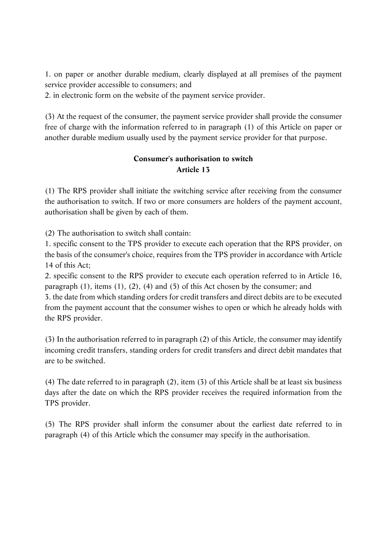1. on paper or another durable medium, clearly displayed at all premises of the payment service provider accessible to consumers; and

2. in electronic form on the website of the payment service provider.

(3) At the request of the consumer, the payment service provider shall provide the consumer free of charge with the information referred to in paragraph (1) of this Article on paper or another durable medium usually used by the payment service provider for that purpose.

#### **Consumer's authorisation to switch Article 13**

(1) The RPS provider shall initiate the switching service after receiving from the consumer the authorisation to switch. If two or more consumers are holders of the payment account, authorisation shall be given by each of them.

(2) The authorisation to switch shall contain:

1. specific consent to the TPS provider to execute each operation that the RPS provider, on the basis of the consumer's choice, requires from the TPS provider in accordance with Article 14 of this Act;

2. specific consent to the RPS provider to execute each operation referred to in Article 16, paragraph (1), items (1), (2), (4) and (5) of this Act chosen by the consumer; and 3. the date from which standing orders for credit transfers and direct debits are to be executed from the payment account that the consumer wishes to open or which he already holds with the RPS provider.

(3) In the authorisation referred to in paragraph (2) of this Article, the consumer may identify incoming credit transfers, standing orders for credit transfers and direct debit mandates that are to be switched.

(4) The date referred to in paragraph (2), item (3) of this Article shall be at least six business days after the date on which the RPS provider receives the required information from the TPS provider.

(5) The RPS provider shall inform the consumer about the earliest date referred to in paragraph (4) of this Article which the consumer may specify in the authorisation.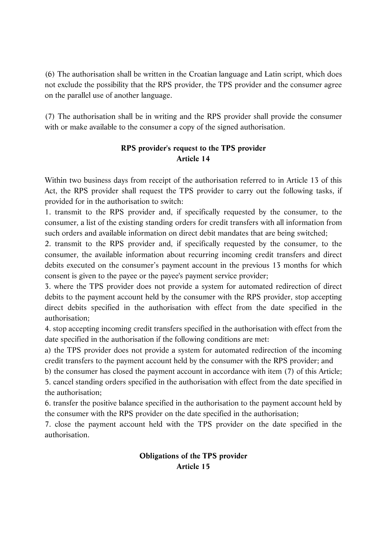(6) The authorisation shall be written in the Croatian language and Latin script, which does not exclude the possibility that the RPS provider, the TPS provider and the consumer agree on the parallel use of another language.

(7) The authorisation shall be in writing and the RPS provider shall provide the consumer with or make available to the consumer a copy of the signed authorisation.

## **RPS provider's request to the TPS provider Article 14**

Within two business days from receipt of the authorisation referred to in Article 13 of this Act, the RPS provider shall request the TPS provider to carry out the following tasks, if provided for in the authorisation to switch:

1. transmit to the RPS provider and, if specifically requested by the consumer, to the consumer, a list of the existing standing orders for credit transfers with all information from such orders and available information on direct debit mandates that are being switched;

2. transmit to the RPS provider and, if specifically requested by the consumer, to the consumer, the available information about recurring incoming credit transfers and direct debits executed on the consumer's payment account in the previous 13 months for which consent is given to the payee or the payee's payment service provider;

3. where the TPS provider does not provide a system for automated redirection of direct debits to the payment account held by the consumer with the RPS provider, stop accepting direct debits specified in the authorisation with effect from the date specified in the authorisation;

4. stop accepting incoming credit transfers specified in the authorisation with effect from the date specified in the authorisation if the following conditions are met:

a) the TPS provider does not provide a system for automated redirection of the incoming credit transfers to the payment account held by the consumer with the RPS provider; and

b) the consumer has closed the payment account in accordance with item (7) of this Article; 5. cancel standing orders specified in the authorisation with effect from the date specified in the authorisation;

6. transfer the positive balance specified in the authorisation to the payment account held by the consumer with the RPS provider on the date specified in the authorisation;

7. close the payment account held with the TPS provider on the date specified in the authorisation.

## **Obligations of the TPS provider Article 15**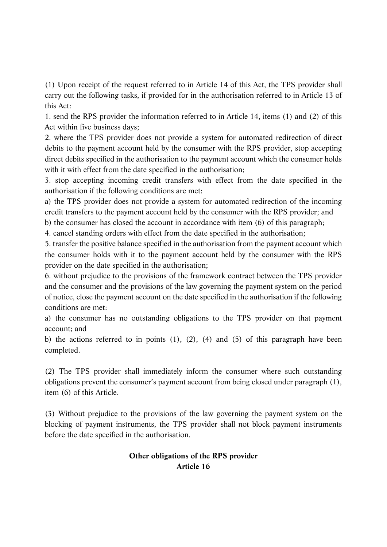(1) Upon receipt of the request referred to in Article 14 of this Act, the TPS provider shall carry out the following tasks, if provided for in the authorisation referred to in Article 13 of this Act:

1. send the RPS provider the information referred to in Article 14, items (1) and (2) of this Act within five business days;

2. where the TPS provider does not provide a system for automated redirection of direct debits to the payment account held by the consumer with the RPS provider, stop accepting direct debits specified in the authorisation to the payment account which the consumer holds with it with effect from the date specified in the authorisation;

3. stop accepting incoming credit transfers with effect from the date specified in the authorisation if the following conditions are met:

a) the TPS provider does not provide a system for automated redirection of the incoming credit transfers to the payment account held by the consumer with the RPS provider; and

b) the consumer has closed the account in accordance with item (6) of this paragraph;

4. cancel standing orders with effect from the date specified in the authorisation;

5. transfer the positive balance specified in the authorisation from the payment account which the consumer holds with it to the payment account held by the consumer with the RPS provider on the date specified in the authorisation;

6. without prejudice to the provisions of the framework contract between the TPS provider and the consumer and the provisions of the law governing the payment system on the period of notice, close the payment account on the date specified in the authorisation if the following conditions are met:

a) the consumer has no outstanding obligations to the TPS provider on that payment account; and

b) the actions referred to in points (1), (2), (4) and (5) of this paragraph have been completed.

(2) The TPS provider shall immediately inform the consumer where such outstanding obligations prevent the consumer's payment account from being closed under paragraph (1), item (6) of this Article.

(3) Without prejudice to the provisions of the law governing the payment system on the blocking of payment instruments, the TPS provider shall not block payment instruments before the date specified in the authorisation.

## **Other obligations of the RPS provider Article 16**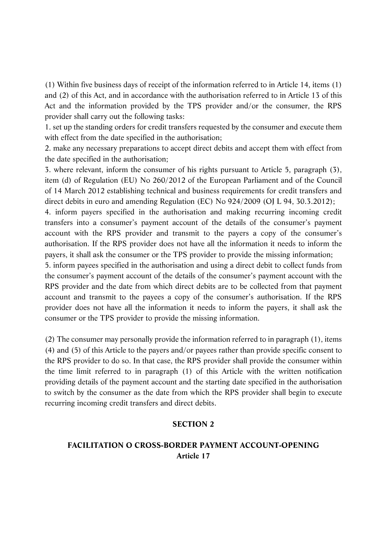(1) Within five business days of receipt of the information referred to in Article 14, items (1) and (2) of this Act, and in accordance with the authorisation referred to in Article 13 of this Act and the information provided by the TPS provider and/or the consumer, the RPS provider shall carry out the following tasks:

1. set up the standing orders for credit transfers requested by the consumer and execute them with effect from the date specified in the authorisation;

2. make any necessary preparations to accept direct debits and accept them with effect from the date specified in the authorisation;

3. where relevant, inform the consumer of his rights pursuant to Article 5, paragraph (3), item (d) of Regulation (EU) No 260/2012 of the European Parliament and of the Council of 14 March 2012 establishing technical and business requirements for credit transfers and direct debits in euro and amending Regulation (EC) No 924/2009 (OJ L 94, 30.3.2012);

4. inform payers specified in the authorisation and making recurring incoming credit transfers into a consumer's payment account of the details of the consumer's payment account with the RPS provider and transmit to the payers a copy of the consumer's authorisation. If the RPS provider does not have all the information it needs to inform the payers, it shall ask the consumer or the TPS provider to provide the missing information;

5. inform payees specified in the authorisation and using a direct debit to collect funds from the consumer's payment account of the details of the consumer's payment account with the RPS provider and the date from which direct debits are to be collected from that payment account and transmit to the payees a copy of the consumer's authorisation. If the RPS provider does not have all the information it needs to inform the payers, it shall ask the consumer or the TPS provider to provide the missing information.

(2) The consumer may personally provide the information referred to in paragraph (1), items (4) and (5) of this Article to the payers and/or payees rather than provide specific consent to the RPS provider to do so. In that case, the RPS provider shall provide the consumer within the time limit referred to in paragraph (1) of this Article with the written notification providing details of the payment account and the starting date specified in the authorisation to switch by the consumer as the date from which the RPS provider shall begin to execute recurring incoming credit transfers and direct debits.

#### **SECTION 2**

#### **FACILITATION O CROSS-BORDER PAYMENT ACCOUNT-OPENING Article 17**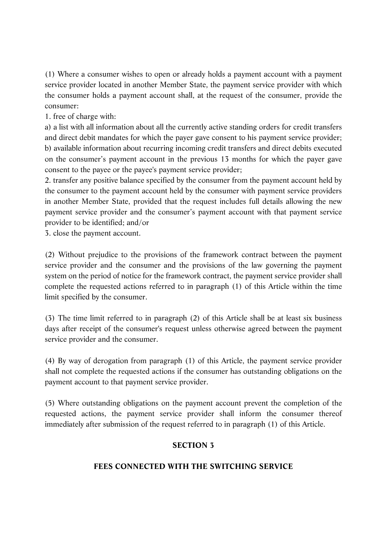(1) Where a consumer wishes to open or already holds a payment account with a payment service provider located in another Member State, the payment service provider with which the consumer holds a payment account shall, at the request of the consumer, provide the consumer:

1. free of charge with:

a) a list with all information about all the currently active standing orders for credit transfers and direct debit mandates for which the payer gave consent to his payment service provider; b) available information about recurring incoming credit transfers and direct debits executed on the consumer's payment account in the previous 13 months for which the payer gave consent to the payee or the payee's payment service provider;

2. transfer any positive balance specified by the consumer from the payment account held by the consumer to the payment account held by the consumer with payment service providers in another Member State, provided that the request includes full details allowing the new payment service provider and the consumer's payment account with that payment service provider to be identified; and/or

3. close the payment account.

(2) Without prejudice to the provisions of the framework contract between the payment service provider and the consumer and the provisions of the law governing the payment system on the period of notice for the framework contract, the payment service provider shall complete the requested actions referred to in paragraph (1) of this Article within the time limit specified by the consumer.

(3) The time limit referred to in paragraph (2) of this Article shall be at least six business days after receipt of the consumer's request unless otherwise agreed between the payment service provider and the consumer.

(4) By way of derogation from paragraph (1) of this Article, the payment service provider shall not complete the requested actions if the consumer has outstanding obligations on the payment account to that payment service provider.

(5) Where outstanding obligations on the payment account prevent the completion of the requested actions, the payment service provider shall inform the consumer thereof immediately after submission of the request referred to in paragraph (1) of this Article.

#### **SECTION 3**

#### **FEES CONNECTED WITH THE SWITCHING SERVICE**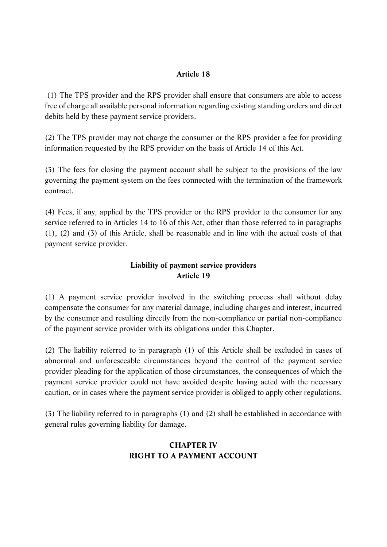#### **Article 18**

 (1) The TPS provider and the RPS provider shall ensure that consumers are able to access free of charge all available personal information regarding existing standing orders and direct debits held by these payment service providers.

(2) The TPS provider may not charge the consumer or the RPS provider a fee for providing information requested by the RPS provider on the basis of Article 14 of this Act.

(3) The fees for closing the payment account shall be subject to the provisions of the law governing the payment system on the fees connected with the termination of the framework contract.

(4) Fees, if any, applied by the TPS provider or the RPS provider to the consumer for any service referred to in Articles 14 to 16 of this Act, other than those referred to in paragraphs (1), (2) and (3) of this Article, shall be reasonable and in line with the actual costs of that payment service provider.

## **Liability of payment service providers Article 19**

(1) A payment service provider involved in the switching process shall without delay compensate the consumer for any material damage, including charges and interest, incurred by the consumer and resulting directly from the non-compliance or partial non-compliance of the payment service provider with its obligations under this Chapter.

(2) The liability referred to in paragraph (1) of this Article shall be excluded in cases of abnormal and unforeseeable circumstances beyond the control of the payment service provider pleading for the application of those circumstances, the consequences of which the payment service provider could not have avoided despite having acted with the necessary caution, or in cases where the payment service provider is obliged to apply other regulations.

(3) The liability referred to in paragraphs (1) and (2) shall be established in accordance with general rules governing liability for damage.

## **CHAPTER IV RIGHT TO A PAYMENT ACCOUNT**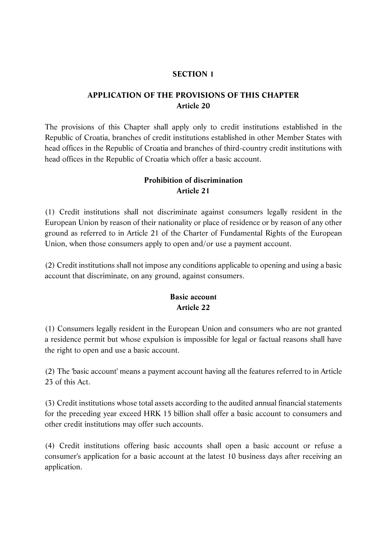#### **SECTION 1**

#### **APPLICATION OF THE PROVISIONS OF THIS CHAPTER Article 20**

The provisions of this Chapter shall apply only to credit institutions established in the Republic of Croatia, branches of credit institutions established in other Member States with head offices in the Republic of Croatia and branches of third-country credit institutions with head offices in the Republic of Croatia which offer a basic account.

#### **Prohibition of discrimination Article 21**

(1) Credit institutions shall not discriminate against consumers legally resident in the European Union by reason of their nationality or place of residence or by reason of any other ground as referred to in Article 21 of the Charter of Fundamental Rights of the European Union, when those consumers apply to open and/or use a payment account.

(2) Credit institutions shall not impose any conditions applicable to opening and using a basic account that discriminate, on any ground, against consumers.

## **Basic account Article 22**

(1) Consumers legally resident in the European Union and consumers who are not granted a residence permit but whose expulsion is impossible for legal or factual reasons shall have the right to open and use a basic account.

(2) The 'basic account' means a payment account having all the features referred to in Article 23 of this Act.

(3) Credit institutions whose total assets according to the audited annual financial statements for the preceding year exceed HRK 15 billion shall offer a basic account to consumers and other credit institutions may offer such accounts.

(4) Credit institutions offering basic accounts shall open a basic account or refuse a consumer's application for a basic account at the latest 10 business days after receiving an application.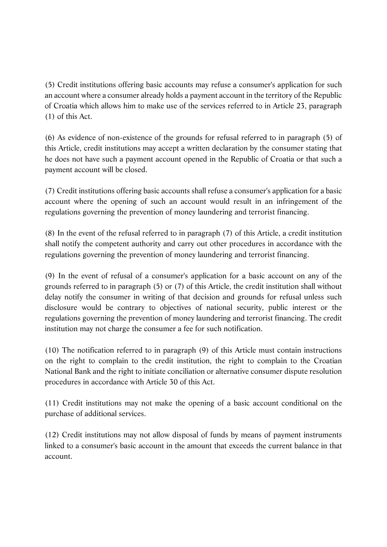(5) Credit institutions offering basic accounts may refuse a consumer's application for such an account where a consumer already holds a payment account in the territory of the Republic of Croatia which allows him to make use of the services referred to in Article 23, paragraph (1) of this Act.

(6) As evidence of non-existence of the grounds for refusal referred to in paragraph (5) of this Article, credit institutions may accept a written declaration by the consumer stating that he does not have such a payment account opened in the Republic of Croatia or that such a payment account will be closed.

(7) Credit institutions offering basic accounts shall refuse a consumer's application for a basic account where the opening of such an account would result in an infringement of the regulations governing the prevention of money laundering and terrorist financing.

(8) In the event of the refusal referred to in paragraph (7) of this Article, a credit institution shall notify the competent authority and carry out other procedures in accordance with the regulations governing the prevention of money laundering and terrorist financing.

(9) In the event of refusal of a consumer's application for a basic account on any of the grounds referred to in paragraph (5) or (7) of this Article, the credit institution shall without delay notify the consumer in writing of that decision and grounds for refusal unless such disclosure would be contrary to objectives of national security, public interest or the regulations governing the prevention of money laundering and terrorist financing. The credit institution may not charge the consumer a fee for such notification.

(10) The notification referred to in paragraph (9) of this Article must contain instructions on the right to complain to the credit institution, the right to complain to the Croatian National Bank and the right to initiate conciliation or alternative consumer dispute resolution procedures in accordance with Article 30 of this Act.

(11) Credit institutions may not make the opening of a basic account conditional on the purchase of additional services.

(12) Credit institutions may not allow disposal of funds by means of payment instruments linked to a consumer's basic account in the amount that exceeds the current balance in that account.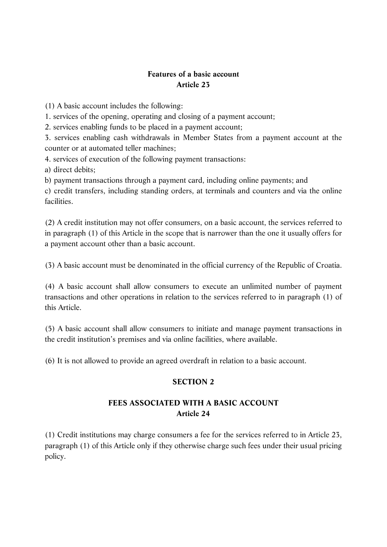## **Features of a basic account Article 23**

(1) A basic account includes the following:

1. services of the opening, operating and closing of a payment account;

2. services enabling funds to be placed in a payment account;

3. services enabling cash withdrawals in Member States from a payment account at the counter or at automated teller machines;

4. services of execution of the following payment transactions:

a) direct debits;

b) payment transactions through a payment card, including online payments; and

c) credit transfers, including standing orders, at terminals and counters and via the online facilities.

(2) A credit institution may not offer consumers, on a basic account, the services referred to in paragraph (1) of this Article in the scope that is narrower than the one it usually offers for a payment account other than a basic account.

(3) A basic account must be denominated in the official currency of the Republic of Croatia.

(4) A basic account shall allow consumers to execute an unlimited number of payment transactions and other operations in relation to the services referred to in paragraph (1) of this Article.

(5) A basic account shall allow consumers to initiate and manage payment transactions in the credit institution's premises and via online facilities, where available.

(6) It is not allowed to provide an agreed overdraft in relation to a basic account.

#### **SECTION 2**

## **FEES ASSOCIATED WITH A BASIC ACCOUNT Article 24**

(1) Credit institutions may charge consumers a fee for the services referred to in Article 23, paragraph (1) of this Article only if they otherwise charge such fees under their usual pricing policy.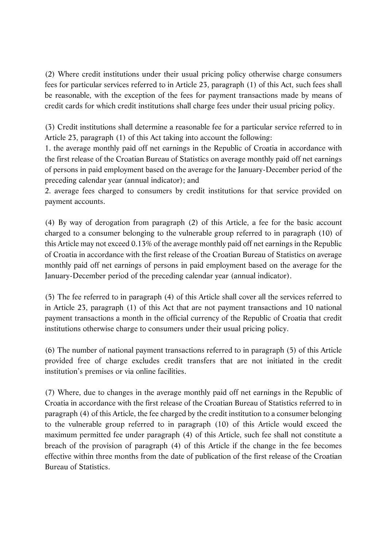(2) Where credit institutions under their usual pricing policy otherwise charge consumers fees for particular services referred to in Article 23, paragraph (1) of this Act, such fees shall be reasonable, with the exception of the fees for payment transactions made by means of credit cards for which credit institutions shall charge fees under their usual pricing policy.

(3) Credit institutions shall determine a reasonable fee for a particular service referred to in Article 23, paragraph (1) of this Act taking into account the following:

1. the average monthly paid off net earnings in the Republic of Croatia in accordance with the first release of the Croatian Bureau of Statistics on average monthly paid off net earnings of persons in paid employment based on the average for the January-December period of the preceding calendar year (annual indicator); and

2. average fees charged to consumers by credit institutions for that service provided on payment accounts.

(4) By way of derogation from paragraph (2) of this Article, a fee for the basic account charged to a consumer belonging to the vulnerable group referred to in paragraph (10) of this Article may not exceed 0.13% of the average monthly paid off net earnings in the Republic of Croatia in accordance with the first release of the Croatian Bureau of Statistics on average monthly paid off net earnings of persons in paid employment based on the average for the January-December period of the preceding calendar year (annual indicator).

(5) The fee referred to in paragraph (4) of this Article shall cover all the services referred to in Article 23, paragraph (1) of this Act that are not payment transactions and 10 national payment transactions a month in the official currency of the Republic of Croatia that credit institutions otherwise charge to consumers under their usual pricing policy.

(6) The number of national payment transactions referred to in paragraph (5) of this Article provided free of charge excludes credit transfers that are not initiated in the credit institution's premises or via online facilities.

(7) Where, due to changes in the average monthly paid off net earnings in the Republic of Croatia in accordance with the first release of the Croatian Bureau of Statistics referred to in paragraph (4) of this Article, the fee charged by the credit institution to a consumer belonging to the vulnerable group referred to in paragraph (10) of this Article would exceed the maximum permitted fee under paragraph (4) of this Article, such fee shall not constitute a breach of the provision of paragraph (4) of this Article if the change in the fee becomes effective within three months from the date of publication of the first release of the Croatian Bureau of Statistics.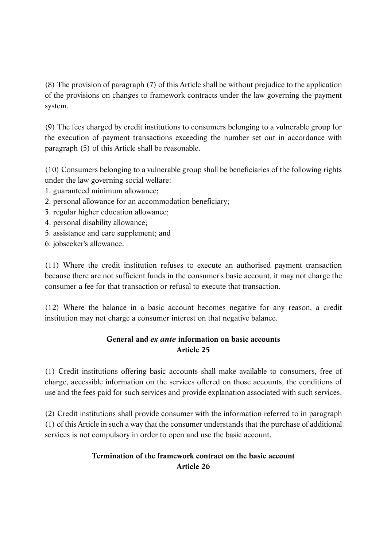(8) The provision of paragraph (7) of this Article shall be without prejudice to the application of the provisions on changes to framework contracts under the law governing the payment system.

(9) The fees charged by credit institutions to consumers belonging to a vulnerable group for the execution of payment transactions exceeding the number set out in accordance with paragraph (5) of this Article shall be reasonable.

(10) Consumers belonging to a vulnerable group shall be beneficiaries of the following rights under the law governing social welfare:

- 1. guaranteed minimum allowance;
- 2. personal allowance for an accommodation beneficiary;
- 3. regular higher education allowance;
- 4. personal disability allowance;
- 5. assistance and care supplement; and
- 6. jobseeker's allowance.

(11) Where the credit institution refuses to execute an authorised payment transaction because there are not sufficient funds in the consumer's basic account, it may not charge the consumer a fee for that transaction or refusal to execute that transaction.

(12) Where the balance in a basic account becomes negative for any reason, a credit institution may not charge a consumer interest on that negative balance.

## **General and** *ex ante* **information on basic accounts Article 25**

(1) Credit institutions offering basic accounts shall make available to consumers, free of charge, accessible information on the services offered on those accounts, the conditions of use and the fees paid for such services and provide explanation associated with such services.

(2) Credit institutions shall provide consumer with the information referred to in paragraph (1) of this Article in such a way that the consumer understands that the purchase of additional services is not compulsory in order to open and use the basic account.

## **Termination of the framework contract on the basic account Article 26**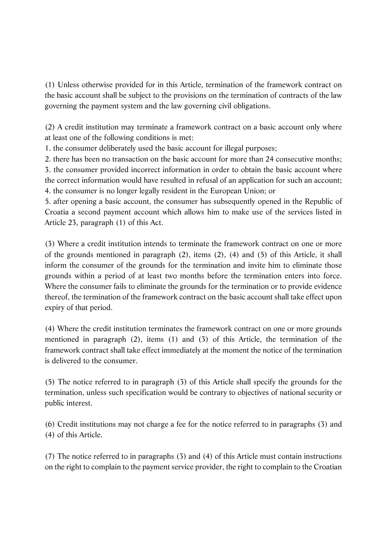(1) Unless otherwise provided for in this Article, termination of the framework contract on the basic account shall be subject to the provisions on the termination of contracts of the law governing the payment system and the law governing civil obligations.

(2) A credit institution may terminate a framework contract on a basic account only where at least one of the following conditions is met:

1. the consumer deliberately used the basic account for illegal purposes;

2. there has been no transaction on the basic account for more than 24 consecutive months; 3. the consumer provided incorrect information in order to obtain the basic account where the correct information would have resulted in refusal of an application for such an account; 4. the consumer is no longer legally resident in the European Union; or

5. after opening a basic account, the consumer has subsequently opened in the Republic of Croatia a second payment account which allows him to make use of the services listed in Article 23, paragraph (1) of this Act.

(3) Where a credit institution intends to terminate the framework contract on one or more of the grounds mentioned in paragraph (2), items (2), (4) and (5) of this Article, it shall inform the consumer of the grounds for the termination and invite him to eliminate those grounds within a period of at least two months before the termination enters into force. Where the consumer fails to eliminate the grounds for the termination or to provide evidence thereof, the termination of the framework contract on the basic account shall take effect upon expiry of that period.

(4) Where the credit institution terminates the framework contract on one or more grounds mentioned in paragraph (2), items (1) and (3) of this Article, the termination of the framework contract shall take effect immediately at the moment the notice of the termination is delivered to the consumer.

(5) The notice referred to in paragraph (3) of this Article shall specify the grounds for the termination, unless such specification would be contrary to objectives of national security or public interest.

(6) Credit institutions may not charge a fee for the notice referred to in paragraphs (3) and (4) of this Article.

(7) The notice referred to in paragraphs (3) and (4) of this Article must contain instructions on the right to complain to the payment service provider, the right to complain to the Croatian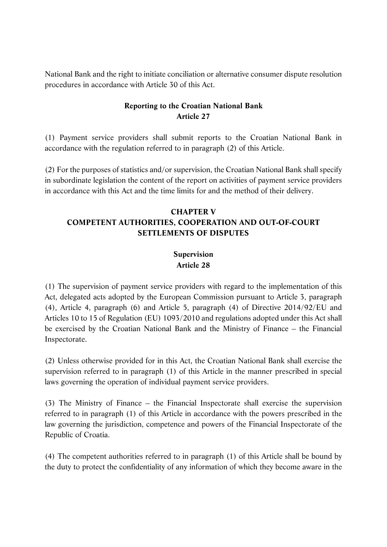National Bank and the right to initiate conciliation or alternative consumer dispute resolution procedures in accordance with Article 30 of this Act.

## **Reporting to the Croatian National Bank Article 27**

(1) Payment service providers shall submit reports to the Croatian National Bank in accordance with the regulation referred to in paragraph (2) of this Article.

(2) For the purposes of statistics and/or supervision, the Croatian National Bank shall specify in subordinate legislation the content of the report on activities of payment service providers in accordance with this Act and the time limits for and the method of their delivery.

## **CHAPTER V COMPETENT AUTHORITIES, COOPERATION AND OUT-OF-COURT SETTLEMENTS OF DISPUTES**

## **Supervision Article 28**

(1) The supervision of payment service providers with regard to the implementation of this Act, delegated acts adopted by the European Commission pursuant to Article 3, paragraph (4), Article 4, paragraph (6) and Article 5, paragraph (4) of Directive 2014/92/EU and Articles 10 to 15 of Regulation (EU) 1093/2010 and regulations adopted under this Act shall be exercised by the Croatian National Bank and the Ministry of Finance – the Financial Inspectorate.

(2) Unless otherwise provided for in this Act, the Croatian National Bank shall exercise the supervision referred to in paragraph (1) of this Article in the manner prescribed in special laws governing the operation of individual payment service providers.

(3) The Ministry of Finance – the Financial Inspectorate shall exercise the supervision referred to in paragraph (1) of this Article in accordance with the powers prescribed in the law governing the jurisdiction, competence and powers of the Financial Inspectorate of the Republic of Croatia.

(4) The competent authorities referred to in paragraph (1) of this Article shall be bound by the duty to protect the confidentiality of any information of which they become aware in the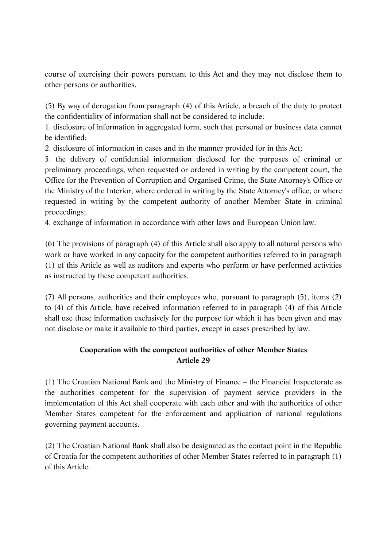course of exercising their powers pursuant to this Act and they may not disclose them to other persons or authorities.

(5) By way of derogation from paragraph (4) of this Article, a breach of the duty to protect the confidentiality of information shall not be considered to include:

1. disclosure of information in aggregated form, such that personal or business data cannot be identified;

2. disclosure of information in cases and in the manner provided for in this Act;

3. the delivery of confidential information disclosed for the purposes of criminal or preliminary proceedings, when requested or ordered in writing by the competent court, the Office for the Prevention of Corruption and Organised Crime, the State Attorney's Office or the Ministry of the Interior, where ordered in writing by the State Attorney's office, or where requested in writing by the competent authority of another Member State in criminal proceedings;

4. exchange of information in accordance with other laws and European Union law.

(6) The provisions of paragraph (4) of this Article shall also apply to all natural persons who work or have worked in any capacity for the competent authorities referred to in paragraph (1) of this Article as well as auditors and experts who perform or have performed activities as instructed by these competent authorities.

(7) All persons, authorities and their employees who, pursuant to paragraph (5), items (2) to (4) of this Article, have received information referred to in paragraph (4) of this Article shall use these information exclusively for the purpose for which it has been given and may not disclose or make it available to third parties, except in cases prescribed by law.

## **Cooperation with the competent authorities of other Member States Article 29**

(1) The Croatian National Bank and the Ministry of Finance – the Financial Inspectorate as the authorities competent for the supervision of payment service providers in the implementation of this Act shall cooperate with each other and with the authorities of other Member States competent for the enforcement and application of national regulations governing payment accounts.

(2) The Croatian National Bank shall also be designated as the contact point in the Republic of Croatia for the competent authorities of other Member States referred to in paragraph (1) of this Article.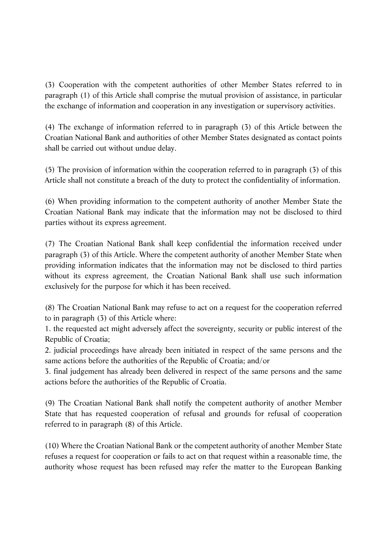(3) Cooperation with the competent authorities of other Member States referred to in paragraph (1) of this Article shall comprise the mutual provision of assistance, in particular the exchange of information and cooperation in any investigation or supervisory activities.

(4) The exchange of information referred to in paragraph (3) of this Article between the Croatian National Bank and authorities of other Member States designated as contact points shall be carried out without undue delay.

(5) The provision of information within the cooperation referred to in paragraph (3) of this Article shall not constitute a breach of the duty to protect the confidentiality of information.

(6) When providing information to the competent authority of another Member State the Croatian National Bank may indicate that the information may not be disclosed to third parties without its express agreement.

(7) The Croatian National Bank shall keep confidential the information received under paragraph (3) of this Article. Where the competent authority of another Member State when providing information indicates that the information may not be disclosed to third parties without its express agreement, the Croatian National Bank shall use such information exclusively for the purpose for which it has been received.

(8) The Croatian National Bank may refuse to act on a request for the cooperation referred to in paragraph (3) of this Article where:

1. the requested act might adversely affect the sovereignty, security or public interest of the Republic of Croatia;

2. judicial proceedings have already been initiated in respect of the same persons and the same actions before the authorities of the Republic of Croatia; and/or

3. final judgement has already been delivered in respect of the same persons and the same actions before the authorities of the Republic of Croatia.

(9) The Croatian National Bank shall notify the competent authority of another Member State that has requested cooperation of refusal and grounds for refusal of cooperation referred to in paragraph (8) of this Article.

(10) Where the Croatian National Bank or the competent authority of another Member State refuses a request for cooperation or fails to act on that request within a reasonable time, the authority whose request has been refused may refer the matter to the European Banking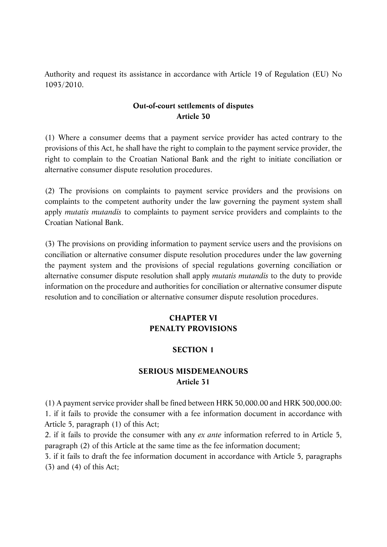Authority and request its assistance in accordance with Article 19 of Regulation (EU) No 1093/2010.

#### **Out-of-court settlements of disputes Article 30**

(1) Where a consumer deems that a payment service provider has acted contrary to the provisions of this Act, he shall have the right to complain to the payment service provider, the right to complain to the Croatian National Bank and the right to initiate conciliation or alternative consumer dispute resolution procedures.

(2) The provisions on complaints to payment service providers and the provisions on complaints to the competent authority under the law governing the payment system shall apply *mutatis mutandis* to complaints to payment service providers and complaints to the Croatian National Bank.

(3) The provisions on providing information to payment service users and the provisions on conciliation or alternative consumer dispute resolution procedures under the law governing the payment system and the provisions of special regulations governing conciliation or alternative consumer dispute resolution shall apply *mutatis mutandis* to the duty to provide information on the procedure and authorities for conciliation or alternative consumer dispute resolution and to conciliation or alternative consumer dispute resolution procedures.

## **CHAPTER VI PENALTY PROVISIONS**

#### **SECTION 1**

#### **SERIOUS MISDEMEANOURS Article 31**

(1) A payment service provider shall be fined between HRK 50,000.00 and HRK 500,000.00: 1. if it fails to provide the consumer with a fee information document in accordance with Article 5, paragraph (1) of this Act;

2. if it fails to provide the consumer with any *ex ante* information referred to in Article 5, paragraph (2) of this Article at the same time as the fee information document;

3. if it fails to draft the fee information document in accordance with Article 5, paragraphs (3) and (4) of this Act;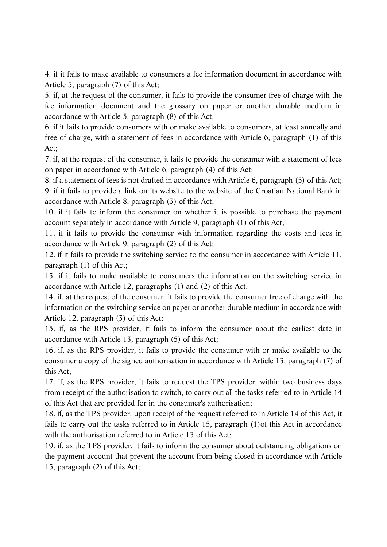4. if it fails to make available to consumers a fee information document in accordance with Article 5, paragraph (7) of this Act;

5. if, at the request of the consumer, it fails to provide the consumer free of charge with the fee information document and the glossary on paper or another durable medium in accordance with Article 5, paragraph (8) of this Act;

6. if it fails to provide consumers with or make available to consumers, at least annually and free of charge, with a statement of fees in accordance with Article 6, paragraph (1) of this Act;

7. if, at the request of the consumer, it fails to provide the consumer with a statement of fees on paper in accordance with Article 6, paragraph (4) of this Act;

8. if a statement of fees is not drafted in accordance with Article 6, paragraph (5) of this Act; 9. if it fails to provide a link on its website to the website of the Croatian National Bank in accordance with Article 8, paragraph (3) of this Act;

10. if it fails to inform the consumer on whether it is possible to purchase the payment account separately in accordance with Article 9, paragraph (1) of this Act;

11. if it fails to provide the consumer with information regarding the costs and fees in accordance with Article 9, paragraph (2) of this Act;

12. if it fails to provide the switching service to the consumer in accordance with Article 11, paragraph (1) of this Act;

13. if it fails to make available to consumers the information on the switching service in accordance with Article 12, paragraphs (1) and (2) of this Act;

14. if, at the request of the consumer, it fails to provide the consumer free of charge with the information on the switching service on paper or another durable medium in accordance with Article 12, paragraph (3) of this Act;

15. if, as the RPS provider, it fails to inform the consumer about the earliest date in accordance with Article 13, paragraph (5) of this Act;

16. if, as the RPS provider, it fails to provide the consumer with or make available to the consumer a copy of the signed authorisation in accordance with Article 13, paragraph (7) of this Act;

17. if, as the RPS provider, it fails to request the TPS provider, within two business days from receipt of the authorisation to switch, to carry out all the tasks referred to in Article 14 of this Act that are provided for in the consumer's authorisation;

18. if, as the TPS provider, upon receipt of the request referred to in Article 14 of this Act, it fails to carry out the tasks referred to in Article 15, paragraph (1)of this Act in accordance with the authorisation referred to in Article 13 of this Act;

19. if, as the TPS provider, it fails to inform the consumer about outstanding obligations on the payment account that prevent the account from being closed in accordance with Article 15, paragraph (2) of this Act;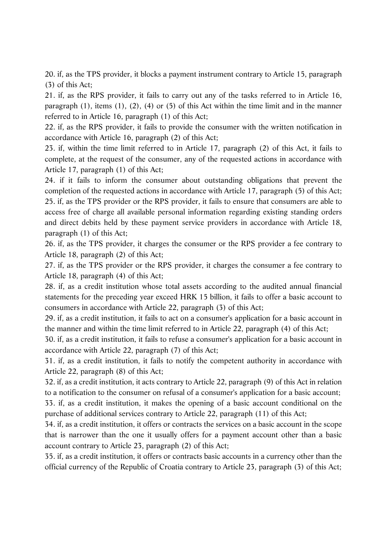20. if, as the TPS provider, it blocks a payment instrument contrary to Article 15, paragraph (3) of this Act;

21. if, as the RPS provider, it fails to carry out any of the tasks referred to in Article 16, paragraph (1), items (1), (2), (4) or (5) of this Act within the time limit and in the manner referred to in Article 16, paragraph (1) of this Act;

22. if, as the RPS provider, it fails to provide the consumer with the written notification in accordance with Article 16, paragraph (2) of this Act;

23. if, within the time limit referred to in Article 17, paragraph (2) of this Act, it fails to complete, at the request of the consumer, any of the requested actions in accordance with Article 17, paragraph (1) of this Act;

24. if it fails to inform the consumer about outstanding obligations that prevent the completion of the requested actions in accordance with Article 17, paragraph (5) of this Act; 25. if, as the TPS provider or the RPS provider, it fails to ensure that consumers are able to access free of charge all available personal information regarding existing standing orders and direct debits held by these payment service providers in accordance with Article 18, paragraph (1) of this Act;

26. if, as the TPS provider, it charges the consumer or the RPS provider a fee contrary to Article 18, paragraph (2) of this Act;

27. if, as the TPS provider or the RPS provider, it charges the consumer a fee contrary to Article 18, paragraph (4) of this Act;

28. if, as a credit institution whose total assets according to the audited annual financial statements for the preceding year exceed HRK 15 billion, it fails to offer a basic account to consumers in accordance with Article 22, paragraph (3) of this Act;

29. if, as a credit institution, it fails to act on a consumer's application for a basic account in the manner and within the time limit referred to in Article 22, paragraph (4) of this Act;

30. if, as a credit institution, it fails to refuse a consumer's application for a basic account in accordance with Article 22, paragraph (7) of this Act;

31. if, as a credit institution, it fails to notify the competent authority in accordance with Article 22, paragraph (8) of this Act;

32. if, as a credit institution, it acts contrary to Article 22, paragraph (9) of this Act in relation to a notification to the consumer on refusal of a consumer's application for a basic account; 33. if, as a credit institution, it makes the opening of a basic account conditional on the purchase of additional services contrary to Article 22, paragraph (11) of this Act;

34. if, as a credit institution, it offers or contracts the services on a basic account in the scope that is narrower than the one it usually offers for a payment account other than a basic account contrary to Article 23, paragraph (2) of this Act;

35. if, as a credit institution, it offers or contracts basic accounts in a currency other than the official currency of the Republic of Croatia contrary to Article 23, paragraph (3) of this Act;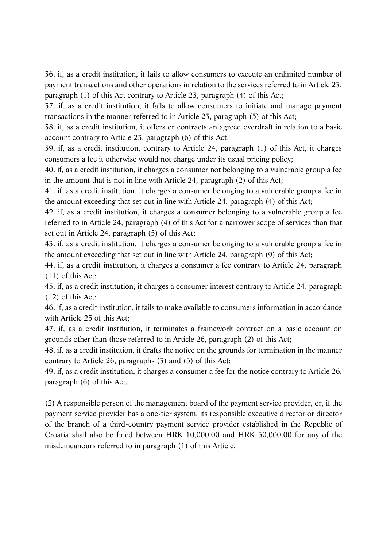36. if, as a credit institution, it fails to allow consumers to execute an unlimited number of payment transactions and other operations in relation to the services referred to in Article 23, paragraph (1) of this Act contrary to Article 23, paragraph (4) of this Act;

37. if, as a credit institution, it fails to allow consumers to initiate and manage payment transactions in the manner referred to in Article 23, paragraph (5) of this Act;

38. if, as a credit institution, it offers or contracts an agreed overdraft in relation to a basic account contrary to Article 23, paragraph (6) of this Act;

39. if, as a credit institution, contrary to Article 24, paragraph (1) of this Act, it charges consumers a fee it otherwise would not charge under its usual pricing policy;

40. if, as a credit institution, it charges a consumer not belonging to a vulnerable group a fee in the amount that is not in line with Article 24, paragraph (2) of this Act;

41. if, as a credit institution, it charges a consumer belonging to a vulnerable group a fee in the amount exceeding that set out in line with Article 24, paragraph (4) of this Act;

42. if, as a credit institution, it charges a consumer belonging to a vulnerable group a fee referred to in Article 24, paragraph (4) of this Act for a narrower scope of services than that set out in Article 24, paragraph (5) of this Act;

43. if, as a credit institution, it charges a consumer belonging to a vulnerable group a fee in the amount exceeding that set out in line with Article 24, paragraph (9) of this Act;

44. if, as a credit institution, it charges a consumer a fee contrary to Article 24, paragraph (11) of this Act;

45. if, as a credit institution, it charges a consumer interest contrary to Article 24, paragraph (12) of this Act;

46. if, as a credit institution, it fails to make available to consumers information in accordance with Article 25 of this Act;

47. if, as a credit institution, it terminates a framework contract on a basic account on grounds other than those referred to in Article 26, paragraph (2) of this Act;

48. if, as a credit institution, it drafts the notice on the grounds for termination in the manner contrary to Article 26, paragraphs (3) and (5) of this Act;

49. if, as a credit institution, it charges a consumer a fee for the notice contrary to Article 26, paragraph (6) of this Act.

(2) A responsible person of the management board of the payment service provider, or, if the payment service provider has a one-tier system, its responsible executive director or director of the branch of a third-country payment service provider established in the Republic of Croatia shall also be fined between HRK 10,000.00 and HRK 50,000.00 for any of the misdemeanours referred to in paragraph (1) of this Article.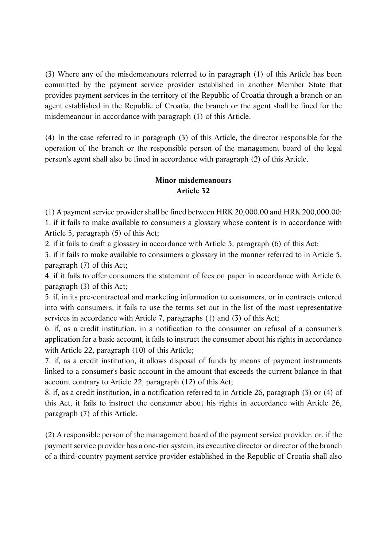(3) Where any of the misdemeanours referred to in paragraph (1) of this Article has been committed by the payment service provider established in another Member State that provides payment services in the territory of the Republic of Croatia through a branch or an agent established in the Republic of Croatia, the branch or the agent shall be fined for the misdemeanour in accordance with paragraph (1) of this Article.

(4) In the case referred to in paragraph (3) of this Article, the director responsible for the operation of the branch or the responsible person of the management board of the legal person's agent shall also be fined in accordance with paragraph (2) of this Article.

#### **Minor misdemeanours Article 32**

(1) A payment service provider shall be fined between HRK 20,000.00 and HRK 200,000.00: 1. if it fails to make available to consumers a glossary whose content is in accordance with Article 5, paragraph (5) of this Act;

2. if it fails to draft a glossary in accordance with Article 5, paragraph (6) of this Act;

3. if it fails to make available to consumers a glossary in the manner referred to in Article 5, paragraph (7) of this Act;

4. if it fails to offer consumers the statement of fees on paper in accordance with Article 6, paragraph (3) of this Act;

5. if, in its pre-contractual and marketing information to consumers, or in contracts entered into with consumers, it fails to use the terms set out in the list of the most representative services in accordance with Article 7, paragraphs (1) and (3) of this Act;

6. if, as a credit institution, in a notification to the consumer on refusal of a consumer's application for a basic account, it fails to instruct the consumer about his rights in accordance with Article 22, paragraph (10) of this Article;

7. if, as a credit institution, it allows disposal of funds by means of payment instruments linked to a consumer's basic account in the amount that exceeds the current balance in that account contrary to Article 22, paragraph (12) of this Act;

8. if, as a credit institution, in a notification referred to in Article 26, paragraph (3) or (4) of this Act, it fails to instruct the consumer about his rights in accordance with Article 26, paragraph (7) of this Article.

(2) A responsible person of the management board of the payment service provider, or, if the payment service provider has a one-tier system, its executive director or director of the branch of a third-country payment service provider established in the Republic of Croatia shall also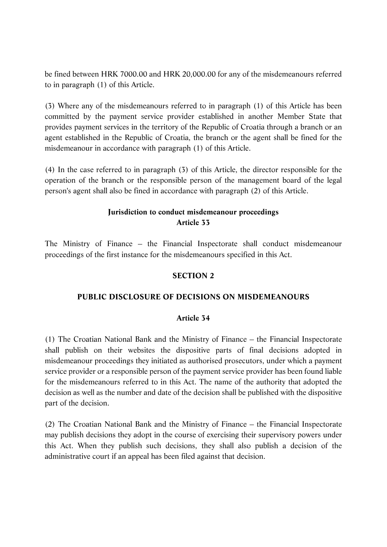be fined between HRK 7000.00 and HRK 20,000.00 for any of the misdemeanours referred to in paragraph (1) of this Article.

(3) Where any of the misdemeanours referred to in paragraph (1) of this Article has been committed by the payment service provider established in another Member State that provides payment services in the territory of the Republic of Croatia through a branch or an agent established in the Republic of Croatia, the branch or the agent shall be fined for the misdemeanour in accordance with paragraph (1) of this Article.

(4) In the case referred to in paragraph (3) of this Article, the director responsible for the operation of the branch or the responsible person of the management board of the legal person's agent shall also be fined in accordance with paragraph (2) of this Article.

#### **Jurisdiction to conduct misdemeanour proceedings Article 33**

The Ministry of Finance – the Financial Inspectorate shall conduct misdemeanour proceedings of the first instance for the misdemeanours specified in this Act.

#### **SECTION 2**

#### **PUBLIC DISCLOSURE OF DECISIONS ON MISDEMEANOURS**

#### **Article 34**

(1) The Croatian National Bank and the Ministry of Finance – the Financial Inspectorate shall publish on their websites the dispositive parts of final decisions adopted in misdemeanour proceedings they initiated as authorised prosecutors, under which a payment service provider or a responsible person of the payment service provider has been found liable for the misdemeanours referred to in this Act. The name of the authority that adopted the decision as well as the number and date of the decision shall be published with the dispositive part of the decision.

(2) The Croatian National Bank and the Ministry of Finance – the Financial Inspectorate may publish decisions they adopt in the course of exercising their supervisory powers under this Act. When they publish such decisions, they shall also publish a decision of the administrative court if an appeal has been filed against that decision.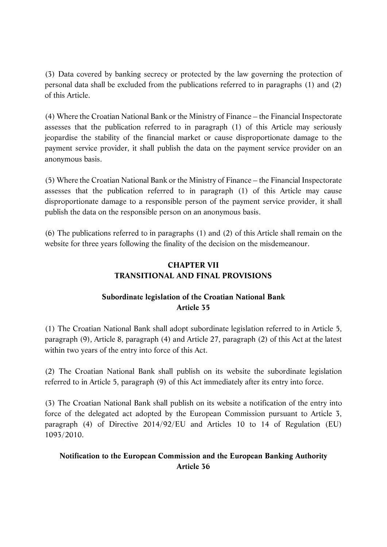(3) Data covered by banking secrecy or protected by the law governing the protection of personal data shall be excluded from the publications referred to in paragraphs (1) and (2) of this Article.

(4) Where the Croatian National Bank or the Ministry of Finance – the Financial Inspectorate assesses that the publication referred to in paragraph (1) of this Article may seriously jeopardise the stability of the financial market or cause disproportionate damage to the payment service provider, it shall publish the data on the payment service provider on an anonymous basis.

(5) Where the Croatian National Bank or the Ministry of Finance – the Financial Inspectorate assesses that the publication referred to in paragraph (1) of this Article may cause disproportionate damage to a responsible person of the payment service provider, it shall publish the data on the responsible person on an anonymous basis.

(6) The publications referred to in paragraphs (1) and (2) of this Article shall remain on the website for three years following the finality of the decision on the misdemeanour.

## **CHAPTER VII TRANSITIONAL AND FINAL PROVISIONS**

## **Subordinate legislation of the Croatian National Bank Article 35**

(1) The Croatian National Bank shall adopt subordinate legislation referred to in Article 5, paragraph (9), Article 8, paragraph (4) and Article 27, paragraph (2) of this Act at the latest within two years of the entry into force of this Act.

(2) The Croatian National Bank shall publish on its website the subordinate legislation referred to in Article 5, paragraph (9) of this Act immediately after its entry into force.

(3) The Croatian National Bank shall publish on its website a notification of the entry into force of the delegated act adopted by the European Commission pursuant to Article 3, paragraph (4) of Directive 2014/92/EU and Articles 10 to 14 of Regulation (EU) 1093/2010.

## **Notification to the European Commission and the European Banking Authority Article 36**